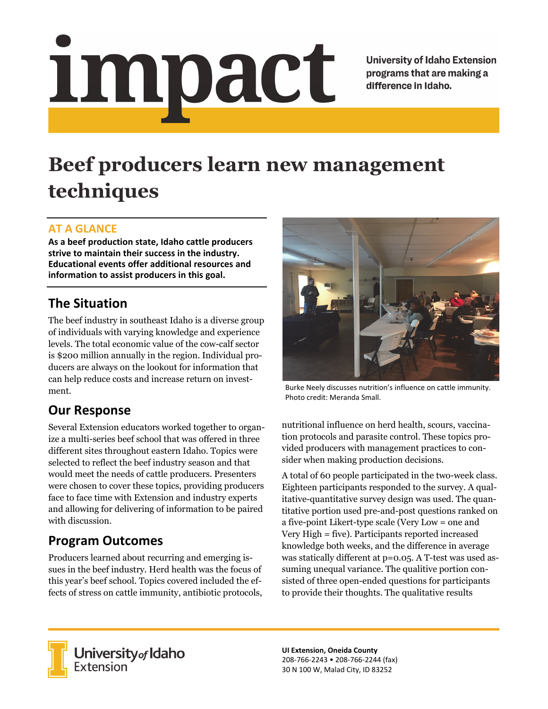# <u>impact</u>

**University of Idaho Extension** programs that are making a difference in Idaho.

# **Beef producers learn new management techniques**

#### **AT A GLANCE**

**As a beef production state, Idaho cattle producers strive to maintain their success in the industry. Educational events offer additional resources and information to assist producers in this goal.**

### **The Situation**

The beef industry in southeast Idaho is a diverse group of individuals with varying knowledge and experience levels. The total economic value of the cow-calf sector is \$200 million annually in the region. Individual producers are always on the lookout for information that can help reduce costs and increase return on investment.

#### **Our Response**

Several Extension educators worked together to organize a multi-series beef school that was offered in three different sites throughout eastern Idaho. Topics were selected to reflect the beef industry season and that would meet the needs of cattle producers. Presenters were chosen to cover these topics, providing producers face to face time with Extension and industry experts and allowing for delivering of information to be paired with discussion.

## **Program Outcomes**

Producers learned about recurring and emerging issues in the beef industry. Herd health was the focus of this year's beef school. Topics covered included the effects of stress on cattle immunity, antibiotic protocols,



Burke Neely discusses nutrition's influence on cattle immunity. Photo credit: Meranda Small.

nutritional influence on herd health, scours, vaccination protocols and parasite control. These topics provided producers with management practices to consider when making production decisions.

A total of 60 people participated in the two-week class. Eighteen participants responded to the survey. A qualitative-quantitative survey design was used. The quantitative portion used pre-and-post questions ranked on a five-point Likert-type scale (Very Low = one and Very High = five). Participants reported increased knowledge both weeks, and the difference in average was statically different at p=0.05. A T-test was used assuming unequal variance. The qualitive portion consisted of three open-ended questions for participants to provide their thoughts. The qualitative results



**University** of Idaho<br>Extension

**UI Extension, Oneida County** 208‐766‐2243 • 208‐766‐2244 (fax) 30 N 100 W, Malad City, ID 83252